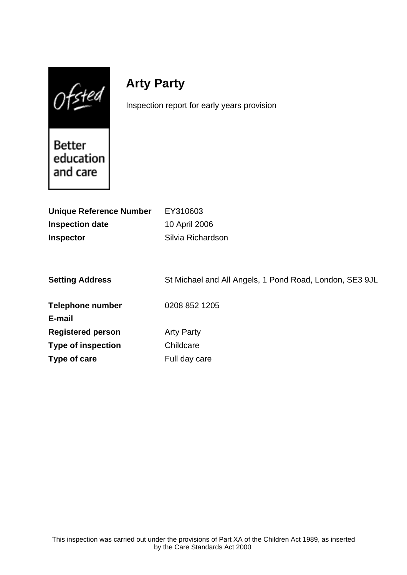$Of$ sted

# **Arty Party**

Inspection report for early years provision

**Better** education and care

| <b>Unique Reference Number</b> | EY310603                                                |
|--------------------------------|---------------------------------------------------------|
| <b>Inspection date</b>         | 10 April 2006                                           |
| <b>Inspector</b>               | Silvia Richardson                                       |
|                                |                                                         |
|                                |                                                         |
| <b>Setting Address</b>         | St Michael and All Angels, 1 Pond Road, London, SE3 9JL |
|                                |                                                         |
| <b>Telephone number</b>        | 0208 852 1205                                           |
| E-mail                         |                                                         |
| <b>Registered person</b>       | <b>Arty Party</b>                                       |
| <b>Type of inspection</b>      | Childcare                                               |
| Type of care                   | Full day care                                           |
|                                |                                                         |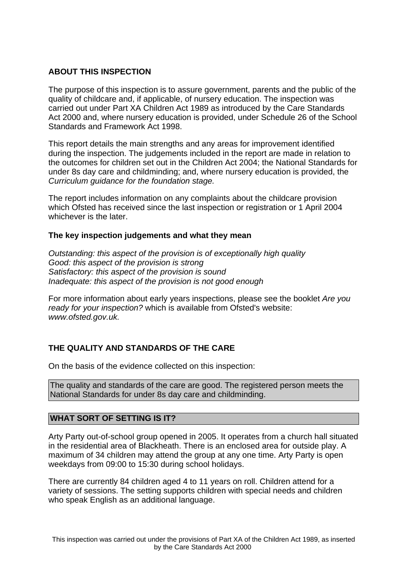## **ABOUT THIS INSPECTION**

The purpose of this inspection is to assure government, parents and the public of the quality of childcare and, if applicable, of nursery education. The inspection was carried out under Part XA Children Act 1989 as introduced by the Care Standards Act 2000 and, where nursery education is provided, under Schedule 26 of the School Standards and Framework Act 1998.

This report details the main strengths and any areas for improvement identified during the inspection. The judgements included in the report are made in relation to the outcomes for children set out in the Children Act 2004; the National Standards for under 8s day care and childminding; and, where nursery education is provided, the Curriculum guidance for the foundation stage.

The report includes information on any complaints about the childcare provision which Ofsted has received since the last inspection or registration or 1 April 2004 whichever is the later.

## **The key inspection judgements and what they mean**

Outstanding: this aspect of the provision is of exceptionally high quality Good: this aspect of the provision is strong Satisfactory: this aspect of the provision is sound Inadequate: this aspect of the provision is not good enough

For more information about early years inspections, please see the booklet Are you ready for your inspection? which is available from Ofsted's website: www.ofsted.gov.uk.

# **THE QUALITY AND STANDARDS OF THE CARE**

On the basis of the evidence collected on this inspection:

The quality and standards of the care are good. The registered person meets the National Standards for under 8s day care and childminding.

## **WHAT SORT OF SETTING IS IT?**

Arty Party out-of-school group opened in 2005. It operates from a church hall situated in the residential area of Blackheath. There is an enclosed area for outside play. A maximum of 34 children may attend the group at any one time. Arty Party is open weekdays from 09:00 to 15:30 during school holidays.

There are currently 84 children aged 4 to 11 years on roll. Children attend for a variety of sessions. The setting supports children with special needs and children who speak English as an additional language.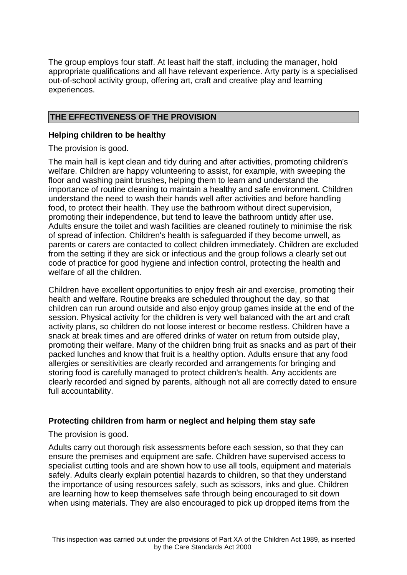The group employs four staff. At least half the staff, including the manager, hold appropriate qualifications and all have relevant experience. Arty party is a specialised out-of-school activity group, offering art, craft and creative play and learning experiences.

# **THE EFFECTIVENESS OF THE PROVISION**

# **Helping children to be healthy**

The provision is good.

The main hall is kept clean and tidy during and after activities, promoting children's welfare. Children are happy volunteering to assist, for example, with sweeping the floor and washing paint brushes, helping them to learn and understand the importance of routine cleaning to maintain a healthy and safe environment. Children understand the need to wash their hands well after activities and before handling food, to protect their health. They use the bathroom without direct supervision, promoting their independence, but tend to leave the bathroom untidy after use. Adults ensure the toilet and wash facilities are cleaned routinely to minimise the risk of spread of infection. Children's health is safeguarded if they become unwell, as parents or carers are contacted to collect children immediately. Children are excluded from the setting if they are sick or infectious and the group follows a clearly set out code of practice for good hygiene and infection control, protecting the health and welfare of all the children.

Children have excellent opportunities to enjoy fresh air and exercise, promoting their health and welfare. Routine breaks are scheduled throughout the day, so that children can run around outside and also enjoy group games inside at the end of the session. Physical activity for the children is very well balanced with the art and craft activity plans, so children do not loose interest or become restless. Children have a snack at break times and are offered drinks of water on return from outside play, promoting their welfare. Many of the children bring fruit as snacks and as part of their packed lunches and know that fruit is a healthy option. Adults ensure that any food allergies or sensitivities are clearly recorded and arrangements for bringing and storing food is carefully managed to protect children's health. Any accidents are clearly recorded and signed by parents, although not all are correctly dated to ensure full accountability.

## **Protecting children from harm or neglect and helping them stay safe**

The provision is good.

Adults carry out thorough risk assessments before each session, so that they can ensure the premises and equipment are safe. Children have supervised access to specialist cutting tools and are shown how to use all tools, equipment and materials safely. Adults clearly explain potential hazards to children, so that they understand the importance of using resources safely, such as scissors, inks and glue. Children are learning how to keep themselves safe through being encouraged to sit down when using materials. They are also encouraged to pick up dropped items from the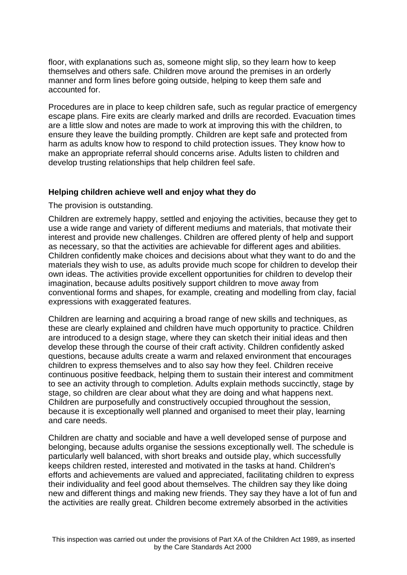floor, with explanations such as, someone might slip, so they learn how to keep themselves and others safe. Children move around the premises in an orderly manner and form lines before going outside, helping to keep them safe and accounted for.

Procedures are in place to keep children safe, such as regular practice of emergency escape plans. Fire exits are clearly marked and drills are recorded. Evacuation times are a little slow and notes are made to work at improving this with the children, to ensure they leave the building promptly. Children are kept safe and protected from harm as adults know how to respond to child protection issues. They know how to make an appropriate referral should concerns arise. Adults listen to children and develop trusting relationships that help children feel safe.

### **Helping children achieve well and enjoy what they do**

The provision is outstanding.

Children are extremely happy, settled and enjoying the activities, because they get to use a wide range and variety of different mediums and materials, that motivate their interest and provide new challenges. Children are offered plenty of help and support as necessary, so that the activities are achievable for different ages and abilities. Children confidently make choices and decisions about what they want to do and the materials they wish to use, as adults provide much scope for children to develop their own ideas. The activities provide excellent opportunities for children to develop their imagination, because adults positively support children to move away from conventional forms and shapes, for example, creating and modelling from clay, facial expressions with exaggerated features.

Children are learning and acquiring a broad range of new skills and techniques, as these are clearly explained and children have much opportunity to practice. Children are introduced to a design stage, where they can sketch their initial ideas and then develop these through the course of their craft activity. Children confidently asked questions, because adults create a warm and relaxed environment that encourages children to express themselves and to also say how they feel. Children receive continuous positive feedback, helping them to sustain their interest and commitment to see an activity through to completion. Adults explain methods succinctly, stage by stage, so children are clear about what they are doing and what happens next. Children are purposefully and constructively occupied throughout the session, because it is exceptionally well planned and organised to meet their play, learning and care needs.

Children are chatty and sociable and have a well developed sense of purpose and belonging, because adults organise the sessions exceptionally well. The schedule is particularly well balanced, with short breaks and outside play, which successfully keeps children rested, interested and motivated in the tasks at hand. Children's efforts and achievements are valued and appreciated, facilitating children to express their individuality and feel good about themselves. The children say they like doing new and different things and making new friends. They say they have a lot of fun and the activities are really great. Children become extremely absorbed in the activities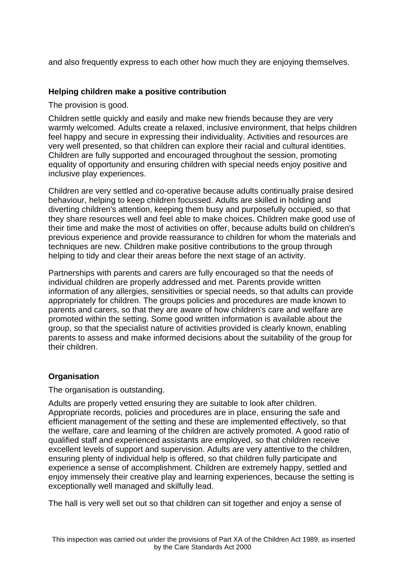and also frequently express to each other how much they are enjoying themselves.

## **Helping children make a positive contribution**

The provision is good.

Children settle quickly and easily and make new friends because they are very warmly welcomed. Adults create a relaxed, inclusive environment, that helps children feel happy and secure in expressing their individuality. Activities and resources are very well presented, so that children can explore their racial and cultural identities. Children are fully supported and encouraged throughout the session, promoting equality of opportunity and ensuring children with special needs enjoy positive and inclusive play experiences.

Children are very settled and co-operative because adults continually praise desired behaviour, helping to keep children focussed. Adults are skilled in holding and diverting children's attention, keeping them busy and purposefully occupied, so that they share resources well and feel able to make choices. Children make good use of their time and make the most of activities on offer, because adults build on children's previous experience and provide reassurance to children for whom the materials and techniques are new. Children make positive contributions to the group through helping to tidy and clear their areas before the next stage of an activity.

Partnerships with parents and carers are fully encouraged so that the needs of individual children are properly addressed and met. Parents provide written information of any allergies, sensitivities or special needs, so that adults can provide appropriately for children. The groups policies and procedures are made known to parents and carers, so that they are aware of how children's care and welfare are promoted within the setting. Some good written information is available about the group, so that the specialist nature of activities provided is clearly known, enabling parents to assess and make informed decisions about the suitability of the group for their children.

# **Organisation**

The organisation is outstanding.

Adults are properly vetted ensuring they are suitable to look after children. Appropriate records, policies and procedures are in place, ensuring the safe and efficient management of the setting and these are implemented effectively, so that the welfare, care and learning of the children are actively promoted. A good ratio of qualified staff and experienced assistants are employed, so that children receive excellent levels of support and supervision. Adults are very attentive to the children, ensuring plenty of individual help is offered, so that children fully participate and experience a sense of accomplishment. Children are extremely happy, settled and enjoy immensely their creative play and learning experiences, because the setting is exceptionally well managed and skilfully lead.

The hall is very well set out so that children can sit together and enjoy a sense of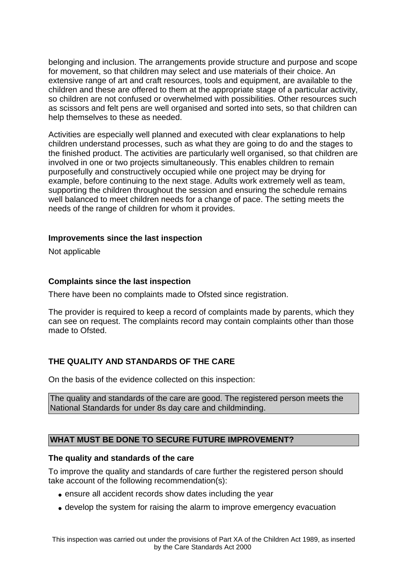belonging and inclusion. The arrangements provide structure and purpose and scope for movement, so that children may select and use materials of their choice. An extensive range of art and craft resources, tools and equipment, are available to the children and these are offered to them at the appropriate stage of a particular activity, so children are not confused or overwhelmed with possibilities. Other resources such as scissors and felt pens are well organised and sorted into sets, so that children can help themselves to these as needed.

Activities are especially well planned and executed with clear explanations to help children understand processes, such as what they are going to do and the stages to the finished product. The activities are particularly well organised, so that children are involved in one or two projects simultaneously. This enables children to remain purposefully and constructively occupied while one project may be drying for example, before continuing to the next stage. Adults work extremely well as team, supporting the children throughout the session and ensuring the schedule remains well balanced to meet children needs for a change of pace. The setting meets the needs of the range of children for whom it provides.

### **Improvements since the last inspection**

Not applicable

## **Complaints since the last inspection**

There have been no complaints made to Ofsted since registration.

The provider is required to keep a record of complaints made by parents, which they can see on request. The complaints record may contain complaints other than those made to Ofsted.

# **THE QUALITY AND STANDARDS OF THE CARE**

On the basis of the evidence collected on this inspection:

The quality and standards of the care are good. The registered person meets the National Standards for under 8s day care and childminding.

## **WHAT MUST BE DONE TO SECURE FUTURE IMPROVEMENT?**

## **The quality and standards of the care**

To improve the quality and standards of care further the registered person should take account of the following recommendation(s):

- ensure all accident records show dates including the year
- develop the system for raising the alarm to improve emergency evacuation